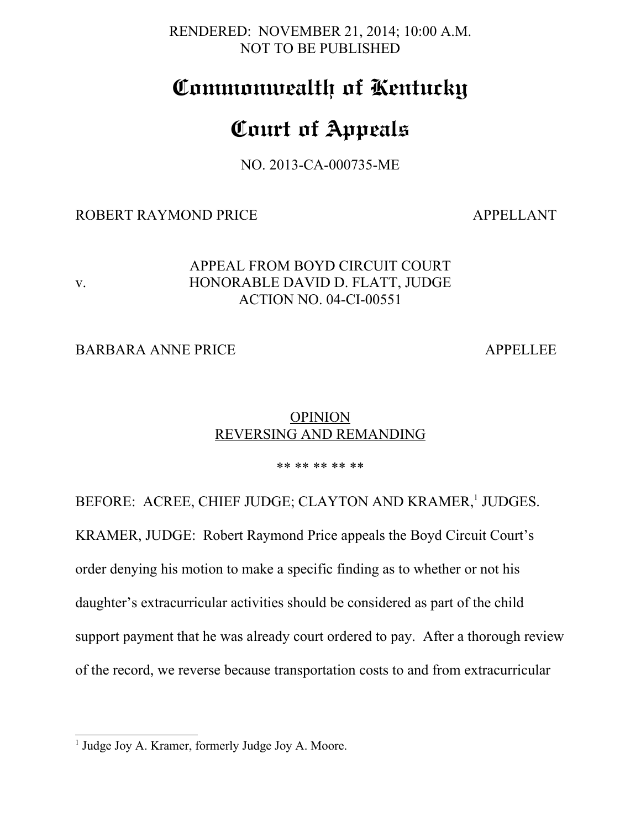RENDERED: NOVEMBER 21, 2014; 10:00 A.M. NOT TO BE PUBLISHED

## **Commonwealth of Kentucky**

# **Court of Appeals**

NO. 2013-CA-000735-ME

#### ROBERT RAYMOND PRICE APPELLANT

#### APPEAL FROM BOYD CIRCUIT COURT v. HONORABLE DAVID D. FLATT, JUDGE ACTION NO. 04-CI-00551

### BARBARA ANNE PRICE APPELLEE

### **OPINION** REVERSING AND REMANDING

\*\* \*\* \*\* \*\* \*\*

BEFORE: ACREE, CHIEF JUDGE; CLAYTON AND KRAMER,<sup>[1](#page-0-0)</sup> JUDGES.

KRAMER, JUDGE: Robert Raymond Price appeals the Boyd Circuit Court's

order denying his motion to make a specific finding as to whether or not his

daughter's extracurricular activities should be considered as part of the child

support payment that he was already court ordered to pay. After a thorough review

of the record, we reverse because transportation costs to and from extracurricular

<span id="page-0-0"></span><sup>&</sup>lt;sup>1</sup> Judge Joy A. Kramer, formerly Judge Joy A. Moore.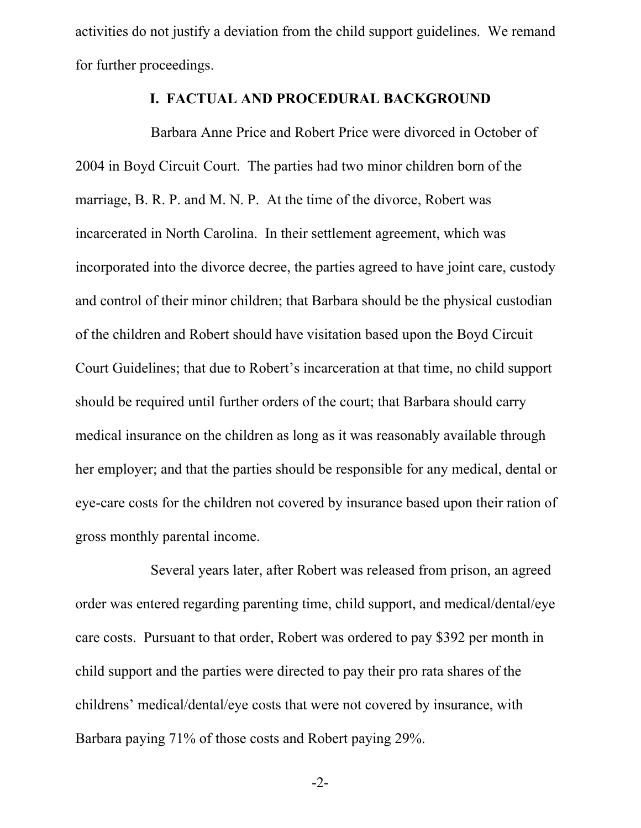activities do not justify a deviation from the child support guidelines. We remand for further proceedings.

#### **I. FACTUAL AND PROCEDURAL BACKGROUND**

Barbara Anne Price and Robert Price were divorced in October of 2004 in Boyd Circuit Court. The parties had two minor children born of the marriage, B. R. P. and M. N. P. At the time of the divorce, Robert was incarcerated in North Carolina. In their settlement agreement, which was incorporated into the divorce decree, the parties agreed to have joint care, custody and control of their minor children; that Barbara should be the physical custodian of the children and Robert should have visitation based upon the Boyd Circuit Court Guidelines; that due to Robert's incarceration at that time, no child support should be required until further orders of the court; that Barbara should carry medical insurance on the children as long as it was reasonably available through her employer; and that the parties should be responsible for any medical, dental or eye-care costs for the children not covered by insurance based upon their ration of gross monthly parental income.

Several years later, after Robert was released from prison, an agreed order was entered regarding parenting time, child support, and medical/dental/eye care costs. Pursuant to that order, Robert was ordered to pay \$392 per month in child support and the parties were directed to pay their pro rata shares of the childrens' medical/dental/eye costs that were not covered by insurance, with Barbara paying 71% of those costs and Robert paying 29%.

-2-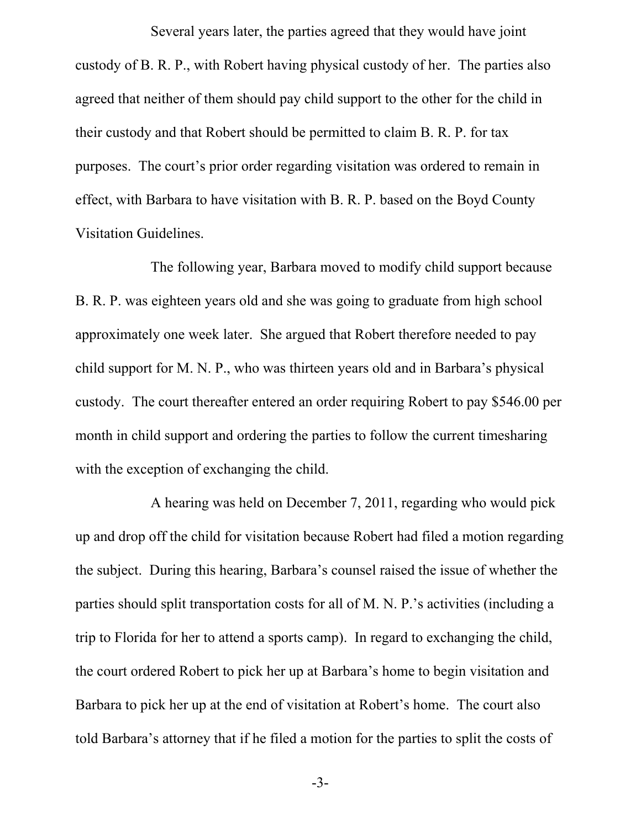Several years later, the parties agreed that they would have joint custody of B. R. P., with Robert having physical custody of her. The parties also agreed that neither of them should pay child support to the other for the child in their custody and that Robert should be permitted to claim B. R. P. for tax purposes. The court's prior order regarding visitation was ordered to remain in effect, with Barbara to have visitation with B. R. P. based on the Boyd County Visitation Guidelines.

The following year, Barbara moved to modify child support because B. R. P. was eighteen years old and she was going to graduate from high school approximately one week later. She argued that Robert therefore needed to pay child support for M. N. P., who was thirteen years old and in Barbara's physical custody. The court thereafter entered an order requiring Robert to pay \$546.00 per month in child support and ordering the parties to follow the current timesharing with the exception of exchanging the child.

A hearing was held on December 7, 2011, regarding who would pick up and drop off the child for visitation because Robert had filed a motion regarding the subject. During this hearing, Barbara's counsel raised the issue of whether the parties should split transportation costs for all of M. N. P.'s activities (including a trip to Florida for her to attend a sports camp). In regard to exchanging the child, the court ordered Robert to pick her up at Barbara's home to begin visitation and Barbara to pick her up at the end of visitation at Robert's home. The court also told Barbara's attorney that if he filed a motion for the parties to split the costs of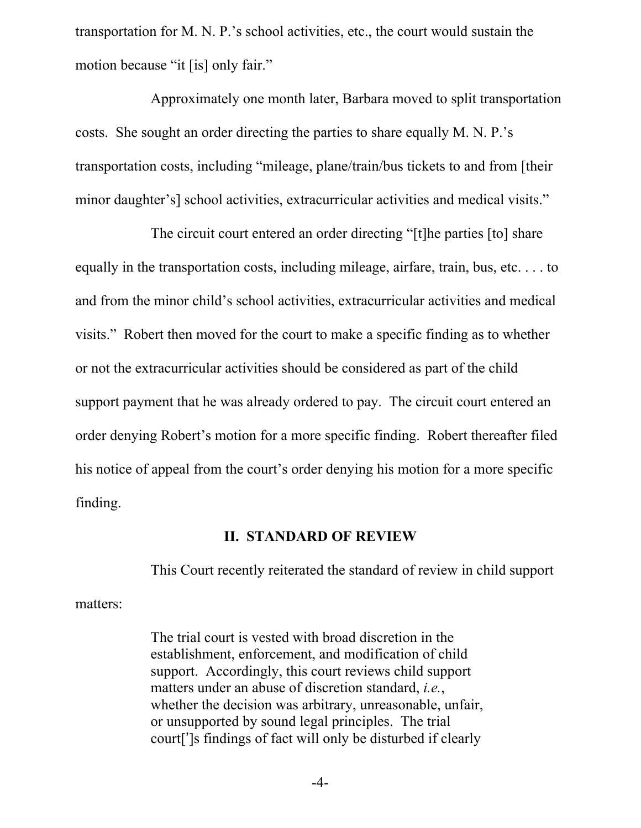transportation for M. N. P.'s school activities, etc., the court would sustain the motion because "it [is] only fair."

Approximately one month later, Barbara moved to split transportation costs. She sought an order directing the parties to share equally M. N. P.'s transportation costs, including "mileage, plane/train/bus tickets to and from [their minor daughter's] school activities, extracurricular activities and medical visits."

The circuit court entered an order directing "[t]he parties [to] share equally in the transportation costs, including mileage, airfare, train, bus, etc. . . . to and from the minor child's school activities, extracurricular activities and medical visits." Robert then moved for the court to make a specific finding as to whether or not the extracurricular activities should be considered as part of the child support payment that he was already ordered to pay. The circuit court entered an order denying Robert's motion for a more specific finding. Robert thereafter filed his notice of appeal from the court's order denying his motion for a more specific finding.

#### **II. STANDARD OF REVIEW**

matters:

This Court recently reiterated the standard of review in child support

The trial court is vested with broad discretion in the establishment, enforcement, and modification of child support. Accordingly, this court reviews child support matters under an abuse of discretion standard, *i.e.*, whether the decision was arbitrary, unreasonable, unfair, or unsupported by sound legal principles. The trial court[']s findings of fact will only be disturbed if clearly

-4-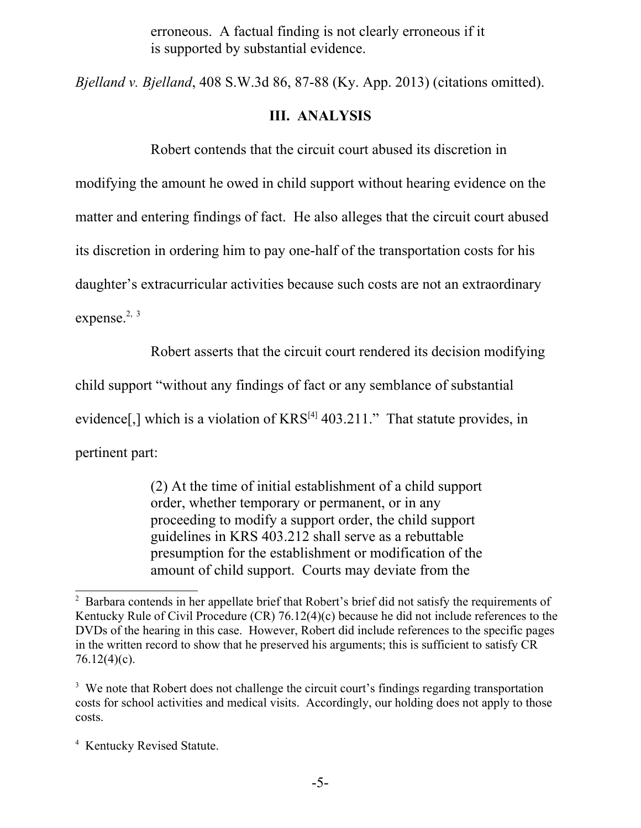erroneous. A factual finding is not clearly erroneous if it is supported by substantial evidence.

*Bjelland v. Bjelland*, 408 S.W.3d 86, 87-88 (Ky. App. 2013) (citations omitted).

#### **III. ANALYSIS**

Robert contends that the circuit court abused its discretion in

modifying the amount he owed in child support without hearing evidence on the

matter and entering findings of fact. He also alleges that the circuit court abused

its discretion in ordering him to pay one-half of the transportation costs for his

daughter's extracurricular activities because such costs are not an extraordinary

expense.<sup>[2,](#page-4-0) [3](#page-4-1)</sup>

Robert asserts that the circuit court rendered its decision modifying

child support "without any findings of fact or any semblance of substantial

evidence[,] which is a violation of  $KRS^{[4]}$  $KRS^{[4]}$  $KRS^{[4]}$  403.211." That statute provides, in

pertinent part:

(2) At the time of initial establishment of a child support order, whether temporary or permanent, or in any proceeding to modify a support order, the child support guidelines in KRS 403.212 shall serve as a rebuttable presumption for the establishment or modification of the amount of child support. Courts may deviate from the

<span id="page-4-0"></span><sup>&</sup>lt;sup>2</sup> Barbara contends in her appellate brief that Robert's brief did not satisfy the requirements of Kentucky Rule of Civil Procedure (CR) 76.12(4)(c) because he did not include references to the DVDs of the hearing in this case. However, Robert did include references to the specific pages in the written record to show that he preserved his arguments; this is sufficient to satisfy CR 76.12(4)(c).

<span id="page-4-1"></span><sup>&</sup>lt;sup>3</sup> We note that Robert does not challenge the circuit court's findings regarding transportation costs for school activities and medical visits. Accordingly, our holding does not apply to those costs.

<span id="page-4-2"></span><sup>4</sup> Kentucky Revised Statute.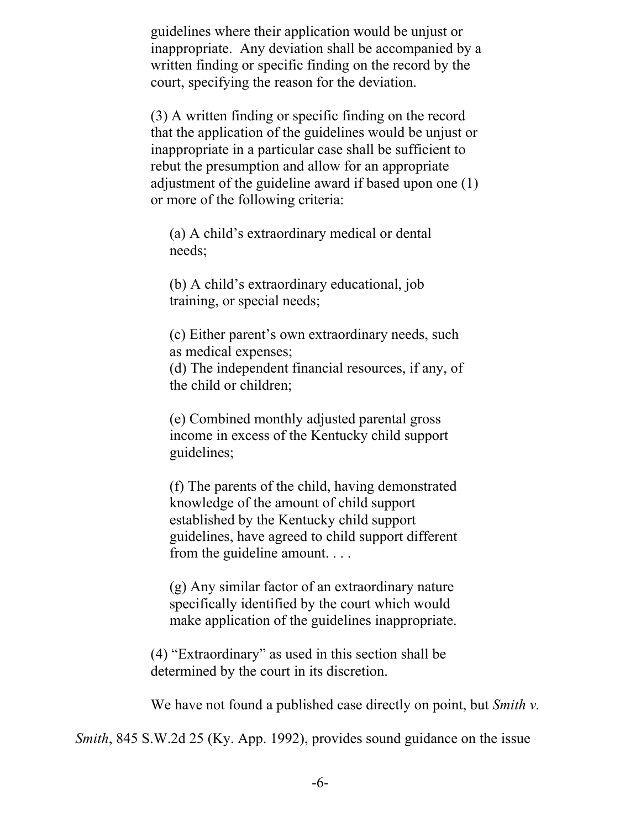guidelines where their application would be unjust or inappropriate. Any deviation shall be accompanied by a written finding or specific finding on the record by the court, specifying the reason for the deviation.

(3) A written finding or specific finding on the record that the application of the guidelines would be unjust or inappropriate in a particular case shall be sufficient to rebut the presumption and allow for an appropriate adjustment of the guideline award if based upon one (1) or more of the following criteria:

(a) A child's extraordinary medical or dental needs;

(b) A child's extraordinary educational, job training, or special needs;

(c) Either parent's own extraordinary needs, such as medical expenses;

(d) The independent financial resources, if any, of the child or children;

(e) Combined monthly adjusted parental gross income in excess of the Kentucky child support guidelines;

(f) The parents of the child, having demonstrated knowledge of the amount of child support established by the Kentucky child support guidelines, have agreed to child support different from the guideline amount. . . .

(g) Any similar factor of an extraordinary nature specifically identified by the court which would make application of the guidelines inappropriate.

(4) "Extraordinary" as used in this section shall be determined by the court in its discretion.

We have not found a published case directly on point, but *Smith v.*

*Smith*, 845 S.W.2d 25 (Ky. App. 1992), provides sound guidance on the issue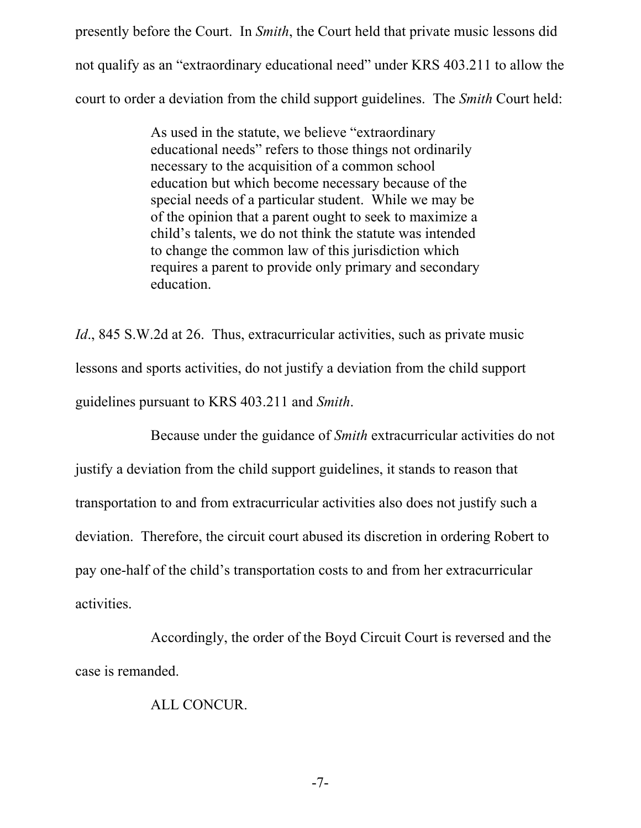presently before the Court. In *Smith*, the Court held that private music lessons did not qualify as an "extraordinary educational need" under KRS 403.211 to allow the court to order a deviation from the child support guidelines. The *Smith* Court held:

> As used in the statute, we believe "extraordinary educational needs" refers to those things not ordinarily necessary to the acquisition of a common school education but which become necessary because of the special needs of a particular student. While we may be of the opinion that a parent ought to seek to maximize a child's talents, we do not think the statute was intended to change the common law of this jurisdiction which requires a parent to provide only primary and secondary education.

*Id.*, 845 S.W.2d at 26. Thus, extracurricular activities, such as private music lessons and sports activities, do not justify a deviation from the child support guidelines pursuant to KRS 403.211 and *Smith*.

Because under the guidance of *Smith* extracurricular activities do not justify a deviation from the child support guidelines, it stands to reason that transportation to and from extracurricular activities also does not justify such a deviation. Therefore, the circuit court abused its discretion in ordering Robert to pay one-half of the child's transportation costs to and from her extracurricular activities.

Accordingly, the order of the Boyd Circuit Court is reversed and the case is remanded.

ALL CONCUR.